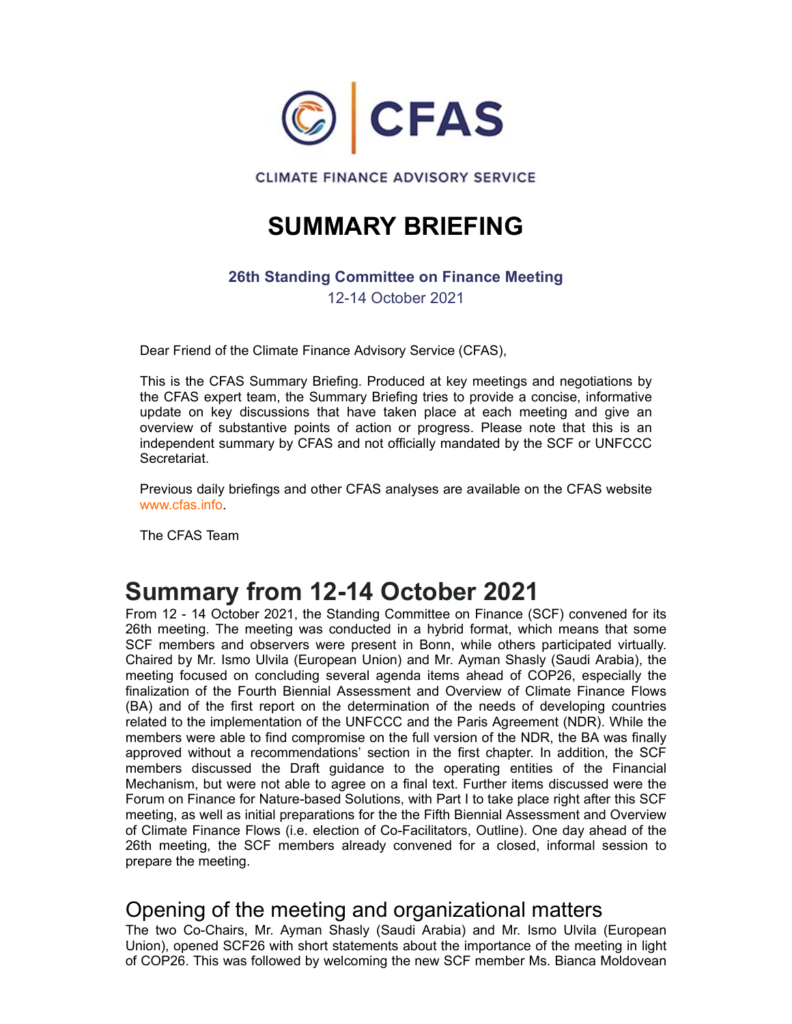

## SUMMARY BRIEFING

### 26th Standing Committee on Finance Meeting

12-14 October 2021

Dear Friend of the Climate Finance Advisory Service (CFAS),

This is the CFAS Summary Briefing. Produced at key meetings and negotiations by the CFAS expert team, the Summary Briefing tries to provide a concise, informative **EXELUS CONTROVER CONTROVER CONTROVERS CONTROVERS CONTROVERS CONTROVERS (SERVICE 2011)**<br>
Dear Friend of the Climate Finance Advisory Service (CFAS),<br>
Dear Friend of the Climate Finance Advisory Service (CFAS),<br>
This is the overview of substantive points of action or progress. Please note that this is an independent summary by CFAS and not officially mandated by the SCF or UNFCCC Secretariat.

Previous daily briefings and other CFAS analyses are available on the CFAS website www.cfas.info.

The CFAS Team

## Summary from 12-14 October 2021

From 12 - 14 October 2021, the Standing Committee on Finance (SCF) convened for its 26th meeting. The meeting was conducted in a hybrid format, which means that some SCF members and observers were present in Bonn, while others participated virtually. Chaired by Mr. Ismo Ulvila (European Union) and Mr. Ayman Shasly (Saudi Arabia), the meeting focused on concluding several agenda items ahead of COP26, especially the finalization of the Fourth Biennial Assessment and Overview of Climate Finance Flows (BA) and of the first report on the determination of the needs of developing countries related to the implementation of the UNFCCC and the Paris Agreement (NDR). While the members were able to find compromise on the full version of the NDR, the BA was finally approved without a recommendations' section in the first chapter. In addition, the SCF order of the method of the Draft guidance of the Previous discussed in the CFAS method interpretential.<br> **Surface the Original control of the operation** of the CFAS website Previous daily briefings and other CFAS analyses Mechanism, but were not able to agree on a final text. Further items discussed were the Forum on Finance for Nature-based Solutions, with Part I to take place right after this SCF meeting, as well as initial preparations for the the Fifth Biennial Assessment and Overview of Climate Finance Flows (i.e. election of Co-Facilitators, Outline). One day ahead of the 26th meeting, the SCF members already convened for a closed, informal session to prepare the meeting.

### Opening of the meeting and organizational matters

The two Co-Chairs, Mr. Ayman Shasly (Saudi Arabia) and Mr. Ismo Ulvila (European Union), opened SCF26 with short statements about the importance of the meeting in light of COP26. This was followed by welcoming the new SCF member Ms. Bianca Moldovean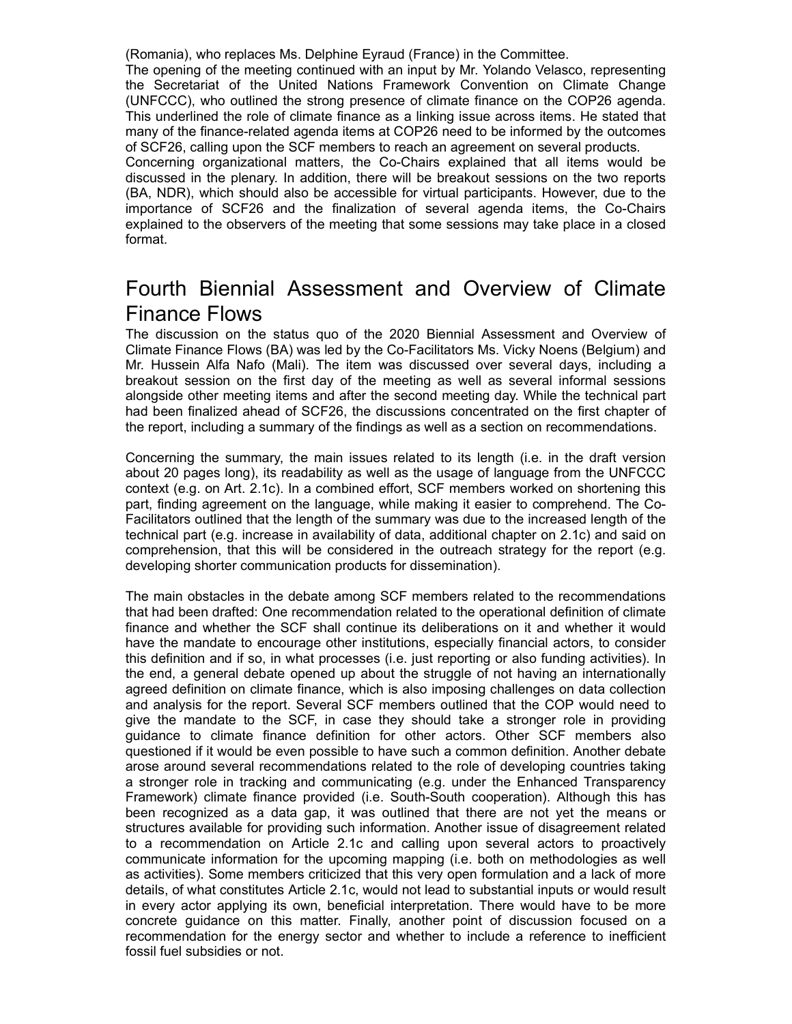(Romania), who replaces Ms. Delphine Eyraud (France) in the Committee.

The opening of the meeting continued with an input by Mr. Yolando Velasco, representing (Romania), who replaces Ms. Delphine Eyraud (France) in the Committee.<br>The opening of the meeting continued with an input by Mr. Yolando Velasco, representing<br>the Secretariat of the United Nations Framework Convention on C (UNFCCC), who outlined the strong presence of climate finance on the COP26 agenda. This underlined the role of climate finance as a linking issue across items. He stated that many of the finance-related agenda items at COP26 need to be informed by the outcomes of SCF26, calling upon the SCF members to reach an agreement on several products.

(Romania), who replaces Ms. Delphine Eyraud (France) in the Committee.<br>The opening of the meeting continued with an input by Mr. Yolando Velasco, representing<br>the Secretariat of the United Nations Framework Convention on C discussed in the plenary. In addition, there will be breakout sessions on the two reports (BA, NDR), which should also be accessible for virtual participants. However, due to the (Romania), who replaces Ms. Delphine Eyraud (France) in the Committee.<br>The opening of the meeting continued with an input by Mr. Yolando Velasco, representing<br>the Secretariat of the United Nations Framework Convention on C explained to the observers of the meeting that some sessions may take place in a closed format. (Romania), who replaces Ms. Delphine Eyraud (France) in the Committee.<br>The opening of the meeting continued with an input by Mr. Yolando Velasco, representing<br>the Secretarial of the United Nations Framework Convention on C

# Finance Flows

The discussion on the status quo of the 2020 Biennial Assessment and Overview of Climate Finance Flows (BA) was led by the Co-Facilitators Ms. Vicky Noens (Belgium) and Mr. Hussein Alfa Nafo (Mali). The item was discussed over several days, including a breakout session on the first day of the meeting as well as several informal sessions alongside other meeting items and after the second meeting day. While the technical part had been finalized ahead of SCF26, the discussions concentrated on the first chapter of the report, including a summary of the findings as well as a section on recommendations.

Concerning the summary, the main issues related to its length (i.e. in the draft version about 20 pages long), its readability as well as the usage of language from the UNFCCC context (e.g. on Art. 2.1c). In a combined effort, SCF members worked on shortening this part, finding agreement on the language, while making it easier to comprehend. The Co-Facilitators outlined that the length of the summary was due to the increased length of the technical part (e.g. increase in availability of data, additional chapter on 2.1c) and said on comprehension, that this will be considered in the outreach strategy for the report (e.g. developing shorter communication products for dissemination).

The main obstacles in the debate among SCF members related to the recommendations that had been drafted: One recommendation related to the operational definition of climate finance and whether the SCF shall continue its deliberations on it and whether it would have the mandate to encourage other institutions, especially financial actors, to consider this definition and if so, in what processes (i.e. just reporting or also funding activities). In the end, a general debate opened up about the struggle of not having an internationally agreed definition on climate finance, which is also imposing challenges on data collection and analysis for the report. Several SCF members outlined that the COP would need to because the manning as we were meeting as were assessed more introduced and been finalized and better meeting items and after the second meeting ay. While the technical part of that eben finalized a<br>head on the first chapt abuse out interemy is the main search with seat and the search of the first chapter of the report, including a summary of the findings as well as a section on recommendations.<br>The report, including a summary of the finding questioned if it would be even possible to have such a common definition. Another debate arose around several recommendations related to the role of developing countries taking a stronger role in tracking and communicating (e.g. under the Enhanced Transparency Framework) climate finance provided (i.e. South-South cooperation). Although this has been recognized as a data gap, it was outlined that there are not yet the means or structures available for providing such information. Another issue of disagreement related particularity agreed difful the beinguage, while inarching to ease to complementation on the constrained part of the commenteristical part of the commentension, that his will be considered in the outeractor strategy for th communicate information for the upcoming mapping (i.e. both on methodologies as well as activities). Some members criticized that this very open formulation and a lack of more details, of what constitutes Article 2.1c, would not lead to substantial inputs or would result in every actor applying its own, beneficial interpretation. There would have to be more The main obstacles in the debate among SCF members related to the recommendations that had been drafted: One recommendation related to the operational definition of climate finance and whether the SCF shall continue its de recommendation for the energy sector and whether to include a reference to inefficient fossil fuel subsidies or not.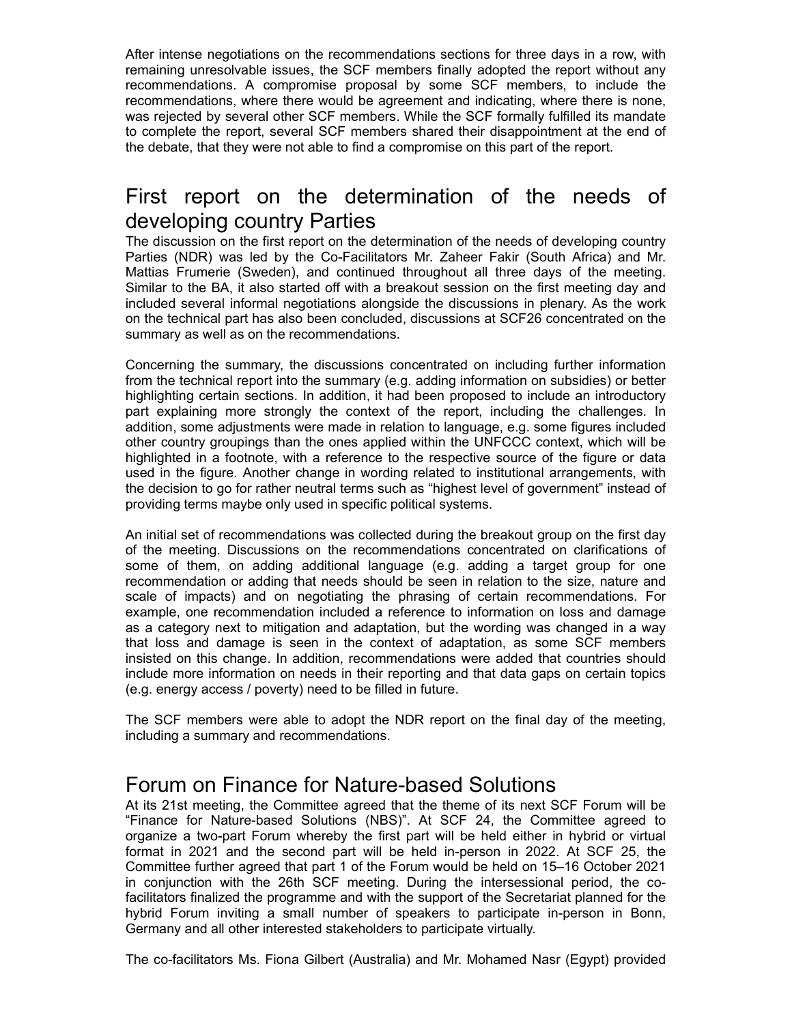After intense negotiations on the recommendations sections for three days in a row, with remaining unresolvable issues, the SCF members finally adopted the report without any After intense negotiations on the recommendations sections for three days in a row, with remaining unresolvable issues, the SCF members finally adopted the report without any recommendations. A compromise proposal by some recommendations, where there would be agreement and indicating, where there is none, was rejected by several other SCF members. While the SCF formally fulfilled its mandate to complete the report, several SCF members shared their disappointment at the end of the debate, that they were not able to find a compromise on this part of the report. After intense negotiations on the recommendations sections for three days in a row, with<br>remaining unresolvable issues, the SCF members finally adopted the report without any<br>recommendations. A compromise proposal by some

# developing country Parties

The discussion on the first report on the determination of the needs of developing country Parties (NDR) was led by the Co-Facilitators Mr. Zaheer Fakir (South Africa) and Mr. After intense negotiations on the recommendations sections for three days in a row, with remaining unresolvable issues, the SCF members finally adopted the report without any recommendations. A compromise proposal by some Similar to the BA, it also started off with a breakout session on the first meeting day and included several informal negotiations alongside the discussions in plenary. As the work on the technical part has also been concluded, discussions at SCF26 concentrated on the summary as well as on the recommendations.

Concerning the summary, the discussions concentrated on including further information from the technical report into the summary (e.g. adding information on subsidies) or better highlighting certain sections. In addition, it had been proposed to include an introductory procession of the explaining more interested of the report of the distribution and including, where the resolution where the report, several ober strongly tariff and including where the report, were the report, several SCF addition, some adjustments were made in relation to language, e.g. some figures included other country groupings than the ones applied within the UNFCCC context, which will be highlighted in a footnote, with a reference to the respective source of the figure or data used in the figure. Another change in wording related to institutional arrangements, with the decision to go for rather neutral terms such as "highest level of government" instead of providing terms maybe only used in specific political systems. The discussion on the first proton the determination of the needs of developing country<br>The discussion on the first report on the determination Mr. Zaheer Fakir (South Africa) and Mr.<br>Partitis (NMP) was led by the Co-Facil

An initial set of recommendations was collected during the breakout group on the first day of the meeting. Discussions on the recommendations concentrated on clarifications of recommendation or adding that needs should be seen in relation to the size, nature and r anes (violong) was beed to method in the beat solar particles) and continued throughout all three days of the meeting.<br>Similar to the BA, it also started off with a breakout ession on the first meeting day included sever example, one recommendation included a reference to information on loss and damage as a category next to mitigation and adaptation, but the wording was changed in a way inculator several minimian regulator, the discussions at SCF26 concentrated on the summary as well as on the recommendations.<br>Concerning the summary, the discussions at SCF26 concentrated on the summary as well as on the r insisted on this change. In addition, recommendations were added that countries should include more information on needs in their reporting and that data gaps on certain topics (e.g. energy access / poverty) need to be filled in future. the decision to go for rather neutral terms such as "highest level of government" instead of<br>providing terms maybe only used in specific political systems.<br>An initial set of recommendations was collected during the breakou An initial set of recommendations was collected during the breakout group on the first day<br>of the meeting. Discussions on the recommendations concentrated on darifrcations of<br>sceed of mensions of the meeting additional lan of the meeting. Discussions on the recommendations concentrated on clarifications of the commendation or adding additional language (e.g. adding a target group for one scale of impacts) and on regolating the phrasing of ce

The SCF members were able to adopt the NDR report on the final day of the meeting, including a summary and recommendations.

#### Forum on Finance for Nature-based Solutions

At its 21st meeting, the Committee agreed that the theme of its next SCF Forum will be organize a two-part Forum whereby the first part will be held either in hybrid or virtual Committee further agreed that part 1 of the Forum would be held on 15–16 October 2021 facilitators finalized the programme and with the support of the Secretariat planned for the recommendation or adding that needs should be seen in relation to the size, nature and a measure as a category next to mitigation included a reference to information on loss and damage is seen in the context of adaptation, Germany and all other interested stakeholders to participate virtually.

The co-facilitators Ms. Fiona Gilbert (Australia) and Mr. Mohamed Nasr (Egypt) provided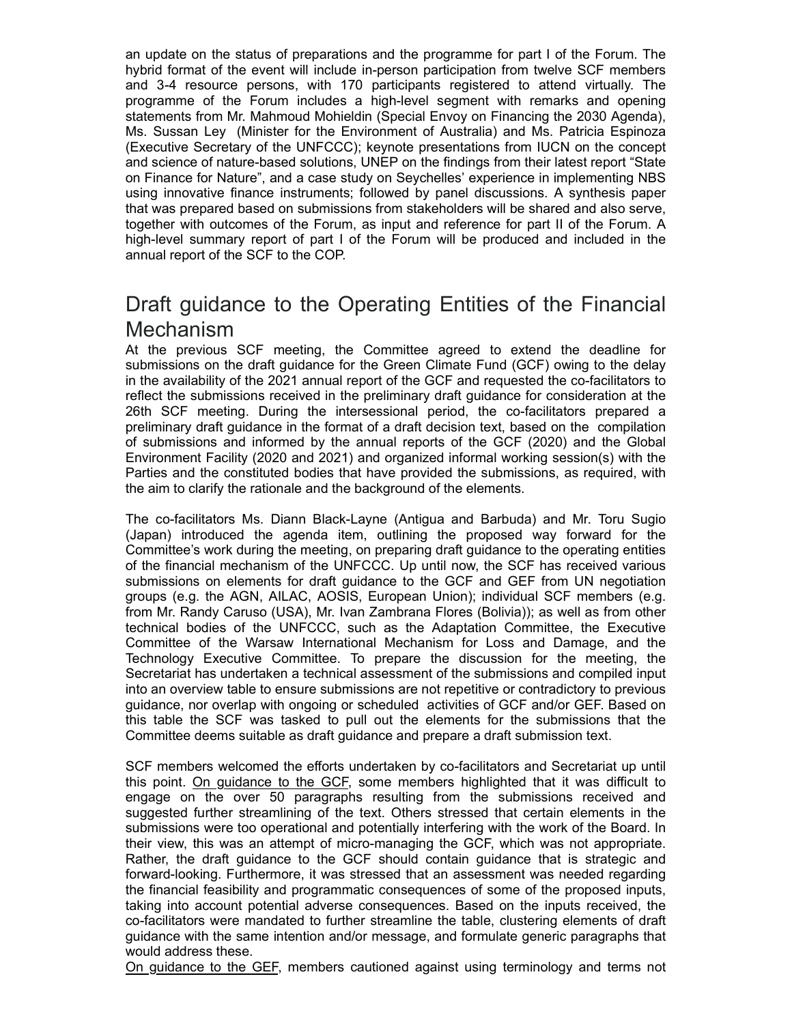an update on the status of preparations and the programme for part I of the Forum. The hybrid format of the event will include in-person participation from twelve SCF members an update on the status of preparations and the programme for part I of the Forum. The<br>hybrid format of the event will include in-person participation from twelve SCF members<br>and 3-4 resource persons, with 170 participants an update on the status of preparations and the programme for part I of the Forum. The<br>hybrid format of the event will include in-person participation from twelve SCF members<br>and 3-4 resource persons, with 170 participants statements from Mr. Mahmoud Mohieldin (Special Envoy on Financing the 2030 Agenda), Ms. Sussan Ley (Minister for the Environment of Australia) and Ms. Patricia Espinoza (Executive Secretary of the UNFCCC); keynote presentations from IUCN on the concept and science of nature-based solutions, UNEP on the findings from their latest report "State on Finance for Nature", and a case study on Seychelles' experience in implementing NBS using innovative finance instruments; followed by panel discussions. A synthesis paper that was prepared based on submissions from stakeholders will be shared and also serve, together with outcomes of the Forum, as input and reference for part II of the Forum. A high-level summary report of part I of the Forum will be produced and included in the annual report of the SCF to the COP. an update on the status of preparations and the programme for part I of the Forum. The hybrid format of the event will include in-person participation from twelve SCF members<br>and 3.4 resource persons, with 170 participates Ay the Economic the Forum includes a high-level period, the co-formation of the format mean of the Forum includes a high-level is egnerate with remarks and opening practioments form Mr. Mahmoud Mohieldin (Special Envoy on

### Draft guidance to the Operating Entities of the Financial **Mechanism**

submissions on the draft guidance for the Green Climate Fund (GCF) owing to the delay in the availability of the 2021 annual report of the GCF and requested the co-facilitators to reflect the submissions received in the preliminary draft guidance for consideration at the preliminary draft guidance in the format of a draft decision text, based on the compilation of submissions and informed by the annual reports of the GCF (2020) and the Global Environment Facility (2020 and 2021) and organized informal working session(s) with the Parties and the constituted bodies that have provided the submissions, as required, with the aim to clarify the rationale and the background of the elements. that was prepared based on submissions from stateholders will be shared and also serve,<br>together with outcomes of the Forum, as input and reference for part II of the Forum. A<br>high-level summary report of part 1 of the For

The co-facilitators Ms. Diann Black-Layne (Antigua and Barbuda) and Mr. Toru Sugio Committee's work during the meeting, on preparing draft guidance to the operating entities of the financial mechanism of the UNFCCC. Up until now, the SCF has received various submissions on elements for draft guidance to the GCF and GEF from UN negotiation groups (e.g. the AGN, AILAC, AOSIS, European Union); individual SCF members (e.g. from Mr. Randy Caruso (USA), Mr. Ivan Zambrana Flores (Bolivia)); as well as from other Draft guidance to the Operating Entities of the Financial<br>Mechanism<br>Mechanism<br>Mechanisms SCF meeting, the Committee agreed to extend the deadline for<br>submissions on the draft guidance for the Green Climate Fund (GCF) owing Direct Uniter Committee to the Committee agreed to extend the deadline for the DeChanismons on the draft guidance for the Green Climate Fund (GCF) owing to the deadline from the evaluability of the 2021 annual report of th Mechanism<br>
At the previous SCF meeting, the Committee agreed to extend the deadline for<br>
authmissions on the draft guidance for the Green Climate Fund (GCF) owing to the delay<br>
in the availability of the 2021 annual report Secretariat has undertaken a technical assessment of the submissions and compiled input into an overview table to ensure submissions are not repetitive or contradictory to previous guidance, nor overlap with ongoing or scheduled activities of GCF and/or GEF. Based on this table the SCF was tasked to pull out the elements for the submissions that the Committee deems suitable as draft guidance and prepare a draft submission text. Environmint rading Yazzo an Zez P<sub>1</sub> an Unganizzo information whing essaying with the submissions, as required, with<br>the sim to clarify the rationale and the background of the elements.<br>The co-facilitators Ms. Diann Black-

SCF members welcomed the efforts undertaken by co-facilitators and Secretariat up until this point. On guidance to the GCF, some members highlighted that it was difficult to suggested further streamlining of the text. Others stressed that certain elements in the submissions were too operational and potentially interfering with the work of the Board. In their view, this was an attempt of micro-managing the GCF, which was not appropriate. Rather, the draft guidance to the GCF should contain guidance that is strategic and forward-looking. Furthermore, it was stressed that an assessment was needed regarding the financial feasibility and programmatic consequences of some of the proposed inputs, taking into account potential adverse consequences. Based on the inputs received, the co-facilitators were mandated to further streamline the table, clustering elements of draft guidance with the same intention and/or message, and formulate generic paragraphs that would address these.

On guidance to the GEF, members cautioned against using terminology and terms not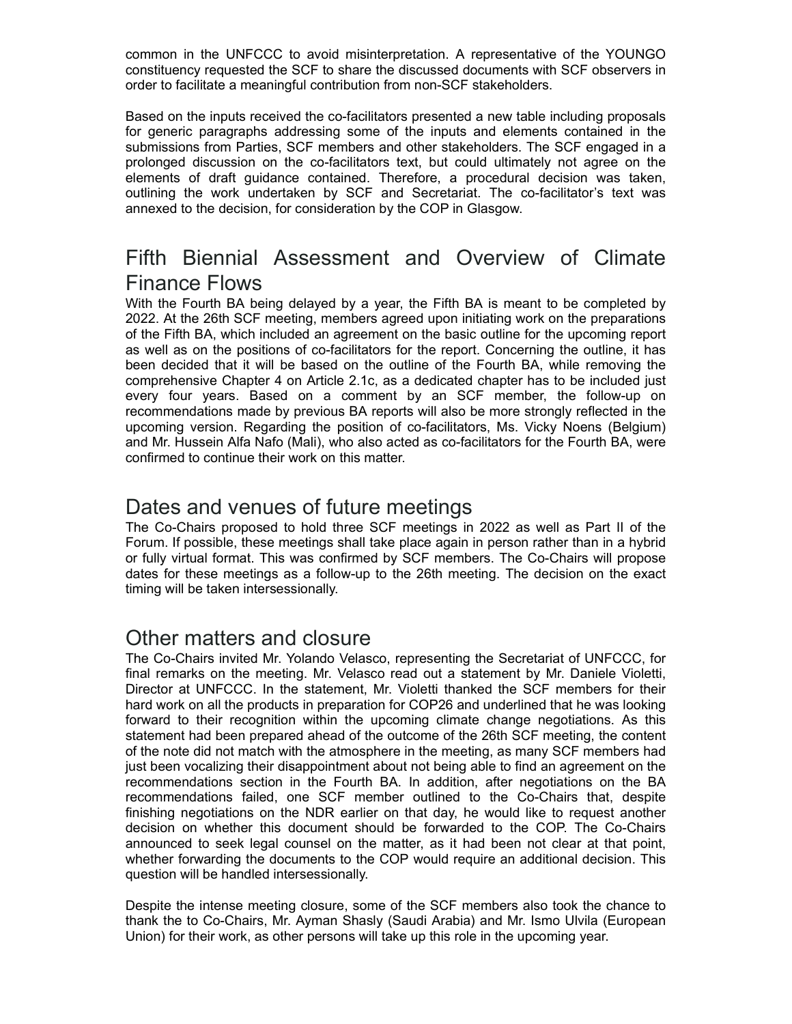common in the UNFCCC to avoid misinterpretation. A representative of the YOUNGO constituency requested the SCF to share the discussed documents with SCF observers in order to facilitate a meaningful contribution from non-SCF stakeholders.

Based on the inputs received the co-facilitators presented a new table including proposals for generic paragraphs addressing some of the inputs and elements contained in the submissions from Parties, SCF members and other stakeholders. The SCF engaged in a prolonged discussion on the co-facilitators text, but could ultimately not agree on the common in the UNFCCC to avoid misinterpretation. A representative of the YOUNGO constituency requested the SCF to share the discussed documents with SCF observers in order to facilitate a meaningful contribution from non-S common in the UNFCCC to avoid misinterpretation. A representative of the YOUNGO<br>constituency requested the SCF to share the discussed documents with SCF observers in<br>order to facilitate a meaningful contribution from non-S annexed to the decision, for consideration by the COP in Glasgow. common in the UNFCCC to avoid misinterpretation. A representative of the YOUNGO<br>constituency requested the SCF to share the discussed documents with SCF observers in<br>order to facilitate a meaningful contribution from non-S

# Finance Flows

With the Fourth BA being delayed by a year, the Fifth BA is meant to be completed by 2022. At the 26th SCF meeting, members agreed upon initiating work on the preparations of the Fifth BA, which included an agreement on the basic outline for the upcoming report as well as on the positions of co-facilitators for the report. Concerning the outline, it has been decided that it will be based on the outline of the Fourth BA, while removing the comprehensive Chapter 4 on Article 2.1c, as a dedicated chapter has to be included just consittivency requested the SCF to share the discussed documents with SCF observers in<br>constituency requested the SCF to share the discussed documents with SCF observers in<br>order to facilitate a meaningful contribution fro recommendations made by previous BA reports will also be more strongly reflected in the upcoming version. Regarding the position of co-facilitators, Ms. Vicky Noens (Belgium) and Mr. Hussein Alfa Nafo (Mali), who also acted as co-facilitators for the Fourth BA, were confirmed to continue their work on this matter.

#### Dates and venues of future meetings

The Co-Chairs proposed to hold three SCF meetings in 2022 as well as Part II of the Forum. If possible, these meetings shall take place again in person rather than in a hybrid or fully virtual format. This was confirmed by SCF members. The Co-Chairs will propose dates for these meetings as a follow-up to the 26th meeting. The decision on the exact timing will be taken intersessionally.

#### Other matters and closure

The Co-Chairs invited Mr. Yolando Velasco, representing the Secretariat of UNFCCC, for final remarks on the meeting. Mr. Velasco read out a statement by Mr. Daniele Violetti, Director at UNFCCC. In the statement, Mr. Violetti thanked the SCF members for their hard work on all the products in preparation for COP26 and underlined that he was looking forward to their recognition within the upcoming climate change negotiations. As this statement had been prepared ahead of the outcome of the 26th SCF meeting, the content of the note did not match with the atmosphere in the meeting, as many SCF members had just been vocalizing their disappointment about not being able to find an agreement on the recommendations section in the Fourth BA. In addition, after negotiations on the BA Charles and Ventues from the metallic and the SCF meetings in 2022 as well as Part II of the Co-Chairs proposed to hold three SCF meetings in inperson rather than in a hybrid Forum. If possible, these meetings shall take p finishing negotiations on the NDR earlier on that day, he would like to request another decision on whether this document should be forwarded to the COP. The Co-Chairs announced to seek legal counsel on the matter, as it had been not clear at that point, whether forwarding the documents to the COP would require an additional decision. This question will be handled intersessionally.

Despite the intense meeting closure, some of the SCF members also took the chance to thank the to Co-Chairs, Mr. Ayman Shasly (Saudi Arabia) and Mr. Ismo Ulvila (European Union) for their work, as other persons will take up this role in the upcoming year.